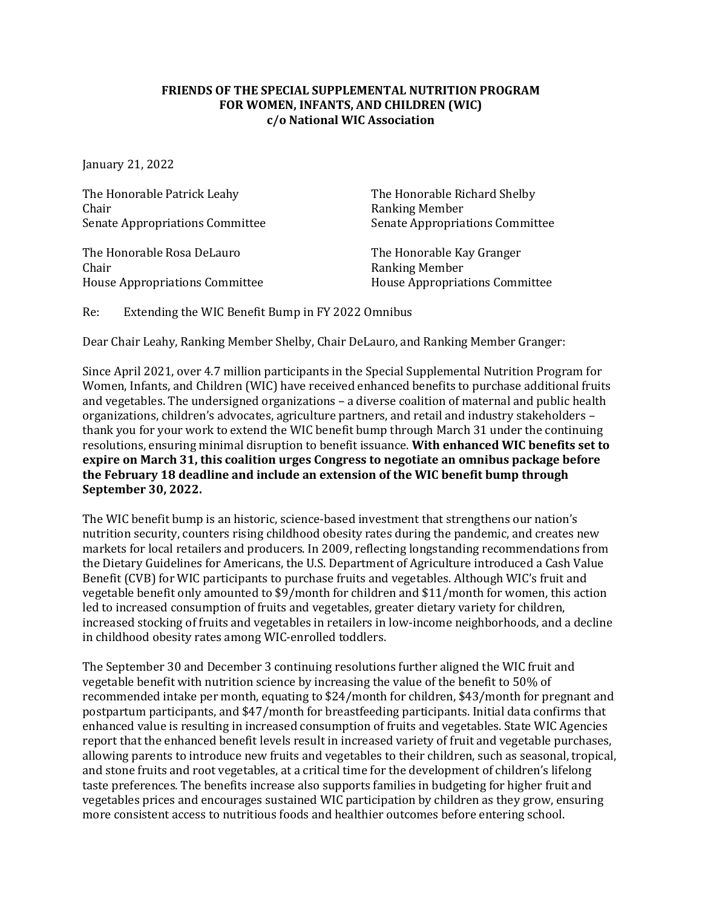## **FRIENDS OF THE SPECIAL SUPPLEMENTAL NUTRITION PROGRAM FOR WOMEN, INFANTS, AND CHILDREN (WIC) c/o National WIC Association**

January 21, 2022

The Honorable Patrick Leahy<br>
Chair<br>
Ranking Member Senate Appropriations Committee

The Honorable Rosa DeLauro<br>
Chair<br>
Ranking Member House Appropriations Committee

Ranking Member<br>Senate Appropriations Committee

Ranking Member<br>House Appropriations Committee

Re: Extending the WIC Benefit Bump in FY 2022 Omnibus

Dear Chair Leahy, Ranking Member Shelby, Chair DeLauro, and Ranking Member Granger:

Since April 2021, over 4.7 million participants in the Special Supplemental Nutrition Program for Women, Infants, and Children (WIC) have received enhanced benefits to purchase additional fruits and vegetables. The undersigned organizations – a diverse coalition of maternal and public health organizations, children's advocates, agriculture partners, and retail and industry stakeholders – thank you for your work to extend the WIC benefit bump through March 31 under the continuing resolutions, ensuring minimal disruption to benefit issuance. **With enhanced WIC benefits set to expire on March 31, this coalition urges Congress to negotiate an omnibus package before the February 18 deadline and include an extension of the WIC benefit bump through September 30, 2022.**

The WIC benefit bump is an historic, science-based investment that strengthens our nation's nutrition security, counters rising childhood obesity rates during the pandemic, and creates new markets for local retailers and producers. In 2009, reflecting longstanding recommendations from the Dietary Guidelines for Americans, the U.S. Department of Agriculture introduced a Cash Value Benefit (CVB) for WIC participants to purchase fruits and vegetables. Although WIC's fruit and vegetable benefit only amounted to \$9/month for children and \$11/month for women, this action led to increased consumption of fruits and vegetables, greater dietary variety for children, increased stocking of fruits and vegetables in retailers in low-income neighborhoods, and a decline in childhood obesity rates among WIC-enrolled toddlers.

The September 30 and December 3 continuing resolutions further aligned the WIC fruit and vegetable benefit with nutrition science by increasing the value of the benefit to 50% of recommended intake per month, equating to \$24/month for children, \$43/month for pregnant and postpartum participants, and \$47/month for breastfeeding participants. Initial data confirms that enhanced value is resulting in increased consumption of fruits and vegetables. State WIC Agencies report that the enhanced benefit levels result in increased variety of fruit and vegetable purchases, allowing parents to introduce new fruits and vegetables to their children, such as seasonal, tropical, and stone fruits and root vegetables, at a critical time for the development of children's lifelong taste preferences. The benefits increase also supports families in budgeting for higher fruit and vegetables prices and encourages sustained WIC participation by children as they grow, ensuring more consistent access to nutritious foods and healthier outcomes before entering school.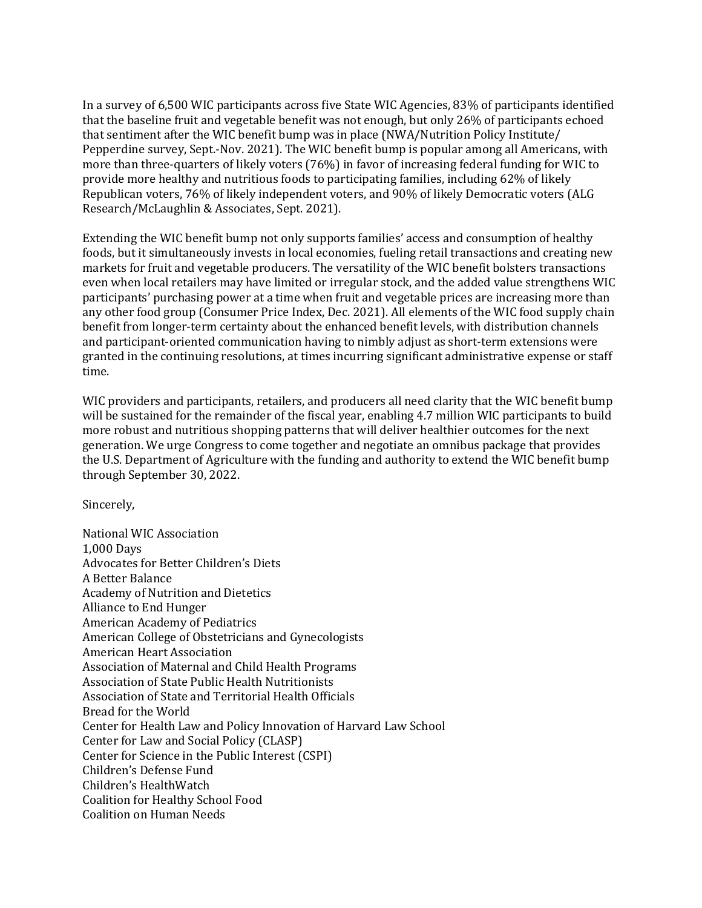In a survey of 6,500 WIC participants across five State WIC Agencies, 83% of participants identified that the baseline fruit and vegetable benefit was not enough, but only 26% of participants echoed that sentiment after the WIC benefit bump was in place (NWA/Nutrition Policy Institute/ Pepperdine survey, Sept.-Nov. 2021). The WIC benefit bump is popular among all Americans, with more than three-quarters of likely voters (76%) in favor of increasing federal funding for WIC to provide more healthy and nutritious foods to participating families, including 62% of likely Republican voters, 76% of likely independent voters, and 90% of likely Democratic voters (ALG Research/McLaughlin & Associates, Sept. 2021).

Extending the WIC benefit bump not only supports families' access and consumption of healthy foods, but it simultaneously invests in local economies, fueling retail transactions and creating new markets for fruit and vegetable producers. The versatility of the WIC benefit bolsters transactions even when local retailers may have limited or irregular stock, and the added value strengthens WIC participants' purchasing power at a time when fruit and vegetable prices are increasing more than any other food group (Consumer Price Index, Dec. 2021). All elements of the WIC food supply chain benefit from longer-term certainty about the enhanced benefit levels, with distribution channels and participant-oriented communication having to nimbly adjust as short-term extensions were granted in the continuing resolutions, at times incurring significant administrative expense or staff time.

WIC providers and participants, retailers, and producers all need clarity that the WIC benefit bump will be sustained for the remainder of the fiscal year, enabling 4.7 million WIC participants to build more robust and nutritious shopping patterns that will deliver healthier outcomes for the next generation. We urge Congress to come together and negotiate an omnibus package that provides the U.S. Department of Agriculture with the funding and authority to extend the WIC benefit bump through September 30, 2022.

Sincerely,

National WIC Association 1,000 Days Advocates for Better Children's Diets A Better Balance Academy of Nutrition and Dietetics Alliance to End Hunger American Academy of Pediatrics American College of Obstetricians and Gynecologists American Heart Association Association of Maternal and Child Health Programs Association of State Public Health Nutritionists Association of State and Territorial Health Officials Bread for the World Center for Health Law and Policy Innovation of Harvard Law School Center for Law and Social Policy (CLASP) Center for Science in the Public Interest (CSPI) Children's Defense Fund Children's HealthWatch Coalition for Healthy School Food Coalition on Human Needs